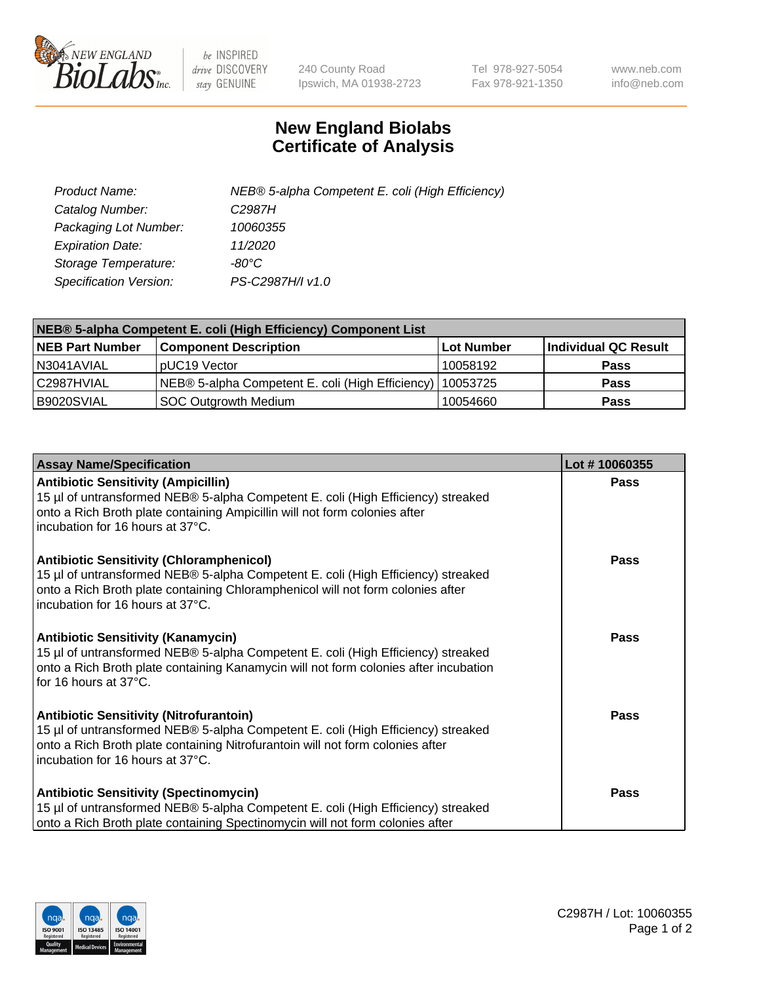

 $be$  INSPIRED drive DISCOVERY stay GENUINE

240 County Road Ipswich, MA 01938-2723 Tel 978-927-5054 Fax 978-921-1350 www.neb.com info@neb.com

## **New England Biolabs Certificate of Analysis**

| Product Name:           | NEB® 5-alpha Competent E. coli (High Efficiency) |
|-------------------------|--------------------------------------------------|
| Catalog Number:         | C <sub>2987</sub> H                              |
| Packaging Lot Number:   | 10060355                                         |
| <b>Expiration Date:</b> | 11/2020                                          |
| Storage Temperature:    | -80°C                                            |
| Specification Version:  | PS-C2987H/I v1.0                                 |

| NEB® 5-alpha Competent E. coli (High Efficiency) Component List |                                                             |                   |                      |  |
|-----------------------------------------------------------------|-------------------------------------------------------------|-------------------|----------------------|--|
| <b>NEB Part Number</b>                                          | <b>Component Description</b>                                | <b>Lot Number</b> | Individual QC Result |  |
| N3041AVIAL                                                      | pUC19 Vector                                                | 10058192          | Pass                 |  |
| C2987HVIAL                                                      | NEB® 5-alpha Competent E. coli (High Efficiency)   10053725 |                   | <b>Pass</b>          |  |
| B9020SVIAL                                                      | SOC Outgrowth Medium                                        | 10054660          | <b>Pass</b>          |  |

| <b>Assay Name/Specification</b>                                                                                                                                                                                                                            | Lot #10060355 |
|------------------------------------------------------------------------------------------------------------------------------------------------------------------------------------------------------------------------------------------------------------|---------------|
| <b>Antibiotic Sensitivity (Ampicillin)</b><br>15 µl of untransformed NEB® 5-alpha Competent E. coli (High Efficiency) streaked<br>onto a Rich Broth plate containing Ampicillin will not form colonies after<br>incubation for 16 hours at 37°C.           | <b>Pass</b>   |
| <b>Antibiotic Sensitivity (Chloramphenicol)</b><br>15 µl of untransformed NEB® 5-alpha Competent E. coli (High Efficiency) streaked<br>onto a Rich Broth plate containing Chloramphenicol will not form colonies after<br>incubation for 16 hours at 37°C. | Pass          |
| Antibiotic Sensitivity (Kanamycin)<br>15 µl of untransformed NEB® 5-alpha Competent E. coli (High Efficiency) streaked<br>onto a Rich Broth plate containing Kanamycin will not form colonies after incubation<br>for 16 hours at 37°C.                    | Pass          |
| <b>Antibiotic Sensitivity (Nitrofurantoin)</b><br>15 µl of untransformed NEB® 5-alpha Competent E. coli (High Efficiency) streaked<br>onto a Rich Broth plate containing Nitrofurantoin will not form colonies after<br>incubation for 16 hours at 37°C.   | <b>Pass</b>   |
| <b>Antibiotic Sensitivity (Spectinomycin)</b><br>15 µl of untransformed NEB® 5-alpha Competent E. coli (High Efficiency) streaked<br>onto a Rich Broth plate containing Spectinomycin will not form colonies after                                         | Pass          |